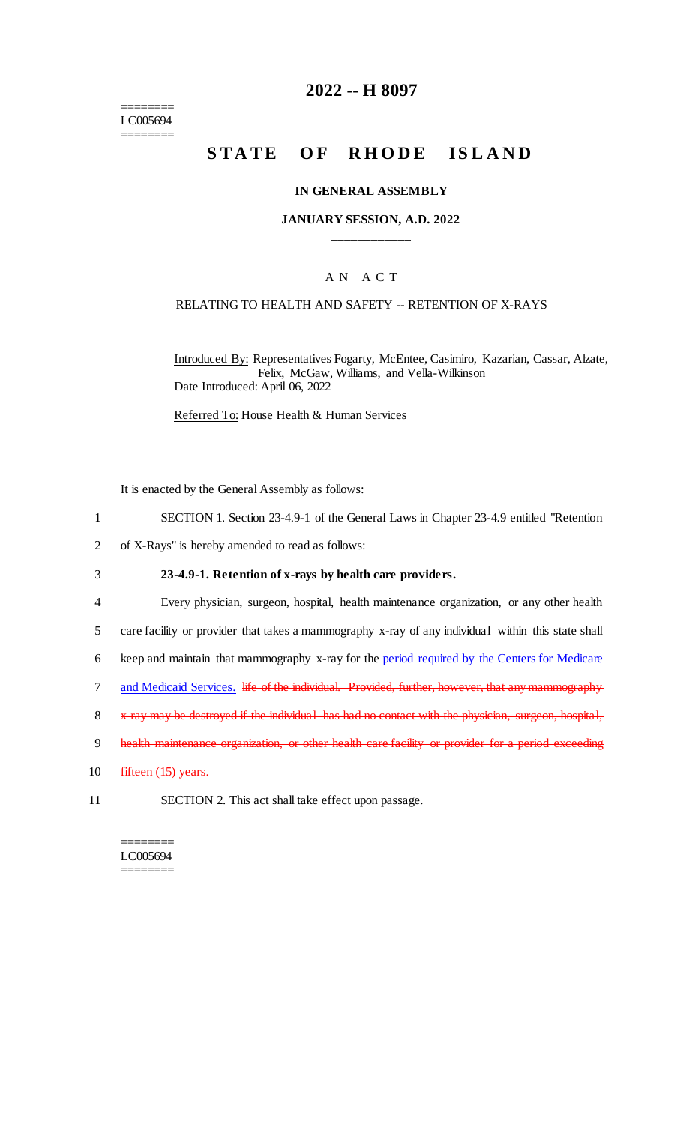======== LC005694 ========

### **2022 -- H 8097**

# **STATE OF RHODE ISLAND**

#### **IN GENERAL ASSEMBLY**

#### **JANUARY SESSION, A.D. 2022 \_\_\_\_\_\_\_\_\_\_\_\_**

#### A N A C T

#### RELATING TO HEALTH AND SAFETY -- RETENTION OF X-RAYS

Introduced By: Representatives Fogarty, McEntee, Casimiro, Kazarian, Cassar, Alzate, Felix, McGaw, Williams, and Vella-Wilkinson Date Introduced: April 06, 2022

Referred To: House Health & Human Services

It is enacted by the General Assembly as follows:

- 1 SECTION 1. Section 23-4.9-1 of the General Laws in Chapter 23-4.9 entitled "Retention
- 2 of X-Rays" is hereby amended to read as follows:

#### 3 **23-4.9-1. Retention of x-rays by health care providers.**

- 4 Every physician, surgeon, hospital, health maintenance organization, or any other health 5 care facility or provider that takes a mammography x-ray of any individual within this state shall 6 keep and maintain that mammography x-ray for the period required by the Centers for Medicare
- 7 and Medicaid Services. life of the individual. Provided, further, however, that any mammography
- 8 x-ray may be destroyed if the individual has had no contact with the physician, surgeon, hospital,
- 9 health maintenance organization, or other health care facility or provider for a period exceeding
- 10 fifteen (15) years.
- 11 SECTION 2. This act shall take effect upon passage.

======== LC005694 ========